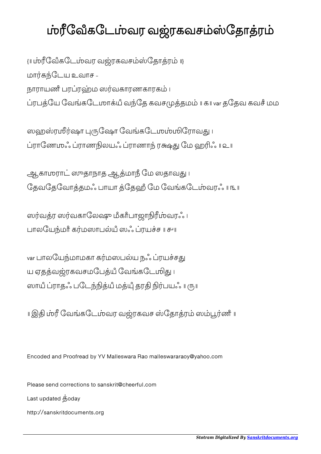## ம்ரீவேீகடேம்வர வஜ்ரகவசம்ஸ்தோத்ரம்

{॥ ேவஂகேடவர வரகவசேதார ॥} மாகேடய உவாச - நாராயணீ பரப்ரஹ்ம ஸர்வகாரணகாரகம் ၊ ரபேய ேவகேடஶாயஂ வேத கவசதம ॥ ௧॥ var தேதவ கவசஂ மம

ஸஹஸ்ரஸீர்ஷா புருஷோ வேங்கடேமும்மிரோவது ၊ ராேணஶஃ ராணலயஃ ராணா ர ேம ஹஃ ॥ ௨॥

ஆகாமராட் ஸுதாநாத ஆத்மாநீ மே ஸதாவது । தேவதேவோத்தமஃ பாயா த்தேஹீ மே வேங்கடேம்வரஃ ॥ ௩ ॥

ஸர்வத்ர ஸர்வகாலேஷு மீகாீபாஜாநிரீம்வரஃ ၊ பாலேயமாஂ கமஸாபயஂ ஸஃ ரயச ॥ ௪॥

var பாலயேந்மாமகா கர்மஸபல்ய நஃ ப்ரயச்சது ய ஏதத்வஜ்ரகவசமபேத்யீ வேங்கடே மிது ப ஸாயீ ப்ராதஃ படேந்நித்யீ மத்யீ தரதி நிர்பயஃ ။ ரு။

॥ இதி ம்ரீ வேங்கடேம்வர வஜ்ரகவச ஸ்தோத்ரம் ஸம்பூர்ணீ ॥

Encoded and Proofread by YV Malleswara Rao malleswararaoy@yahoo.com

Please send corrections to sanskrit@cheerful.com Last updated  $\dot{\mathbf{g}}$ oday http://sanskritdocuments.org